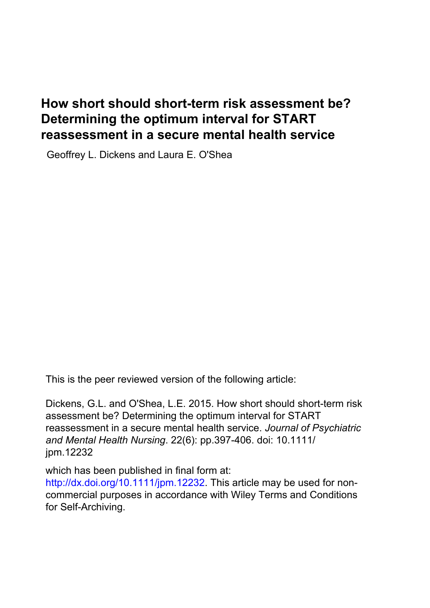# **How short should short-term risk assessment be? Determining the optimum interval for START reassessment in a secure mental health service**

Geoffrey L. Dickens and Laura E. O'Shea

This is the peer reviewed version of the following article:

Dickens, G.L. and O'Shea, L.E. 2015. How short should short-term risk assessment be? Determining the optimum interval for START reassessment in a secure mental health service. *Journal of Psychiatric and Mental Health Nursing*. 22(6): pp.397-406. doi: 10.1111/ jpm.12232

which has been published in final form at:

http://dx.doi.org/10.1111/jpm.12232. This article may be used for noncommercial purposes in accordance with [Wiley Terms and Conditions](http://olabout.wiley.com/WileyCDA/Section/id-820227.html)  [for Self-Archiving.](http://olabout.wiley.com/WileyCDA/Section/id-820227.html)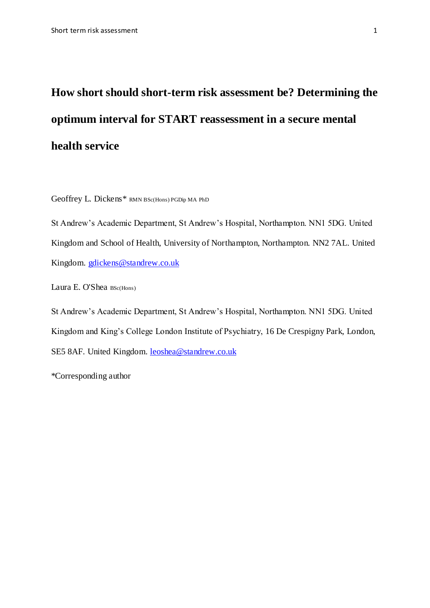# **How short should short-term risk assessment be? Determining the optimum interval for START reassessment in a secure mental health service**

Geoffrey L. Dickens\* RMN BSc(Hons) PGDip MA PhD

St Andrew's Academic Department, St Andrew's Hospital, Northampton. NN1 5DG. United Kingdom and School of Health, University of Northampton, Northampton. NN2 7AL. United Kingdom. [gdickens@standrew.co.uk](mailto:gdickens@standrew.co.uk)

Laura E. O'Shea BSc(Hons)

St Andrew's Academic Department, St Andrew's Hospital, Northampton. NN1 5DG. United Kingdom and King's College London Institute of Psychiatry, 16 De Crespigny Park, London, SE5 8AF. United Kingdom. [leoshea@standrew.co.uk](mailto:leoshea@standrew.co.uk)

\*Corresponding author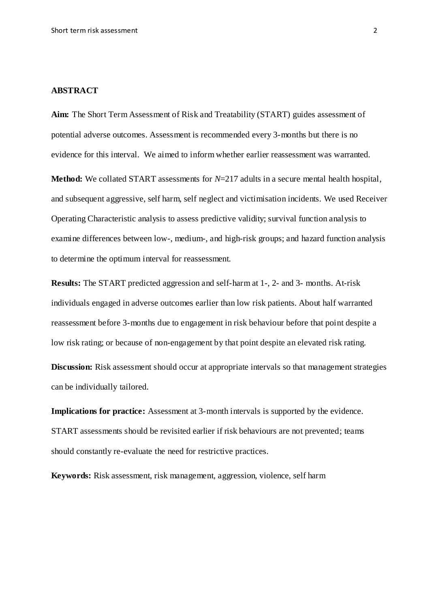#### **ABSTRACT**

**Aim:** The Short Term Assessment of Risk and Treatability (START) guides assessment of potential adverse outcomes. Assessment is recommended every 3-months but there is no evidence for this interval. We aimed to inform whether earlier reassessment was warranted.

Method: We collated START assessments for *N*=217 adults in a secure mental health hospital, and subsequent aggressive, self harm, self neglect and victimisation incidents. We used Receiver Operating Characteristic analysis to assess predictive validity; survival function analysis to examine differences between low-, medium-, and high-risk groups; and hazard function analysis to determine the optimum interval for reassessment.

**Results:** The START predicted aggression and self-harm at 1-, 2- and 3- months. At-risk individuals engaged in adverse outcomes earlier than low risk patients. About half warranted reassessment before 3-months due to engagement in risk behaviour before that point despite a low risk rating; or because of non-engagement by that point despite an elevated risk rating.

**Discussion:** Risk assessment should occur at appropriate intervals so that management strategies can be individually tailored.

**Implications for practice:** Assessment at 3-month intervals is supported by the evidence. START assessments should be revisited earlier if risk behaviours are not prevented; teams should constantly re-evaluate the need for restrictive practices.

**Keywords:** Risk assessment, risk management, aggression, violence, self harm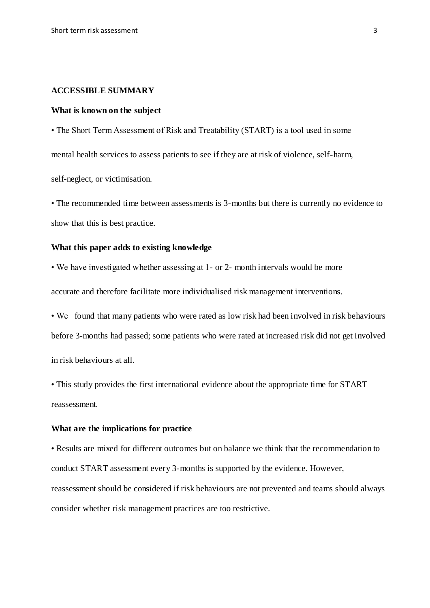#### **ACCESSIBLE SUMMARY**

#### **What is known on the subject**

• The Short Term Assessment of Risk and Treatability (START) is a tool used in some mental health services to assess patients to see if they are at risk of violence, self-harm, self-neglect, or victimisation.

• The recommended time between assessments is 3-months but there is currently no evidence to show that this is best practice.

#### **What this paper adds to existing knowledge**

• We have investigated whether assessing at 1- or 2- month intervals would be more

accurate and therefore facilitate more individualised risk management interventions.

• We found that many patients who were rated as low risk had been involved in risk behaviours before 3-months had passed; some patients who were rated at increased risk did not get involved in risk behaviours at all.

• This study provides the first international evidence about the appropriate time for START reassessment.

#### **What are the implications for practice**

• Results are mixed for different outcomes but on balance we think that the recommendation to conduct START assessment every 3-months is supported by the evidence. However, reassessment should be considered if risk behaviours are not prevented and teams should always consider whether risk management practices are too restrictive.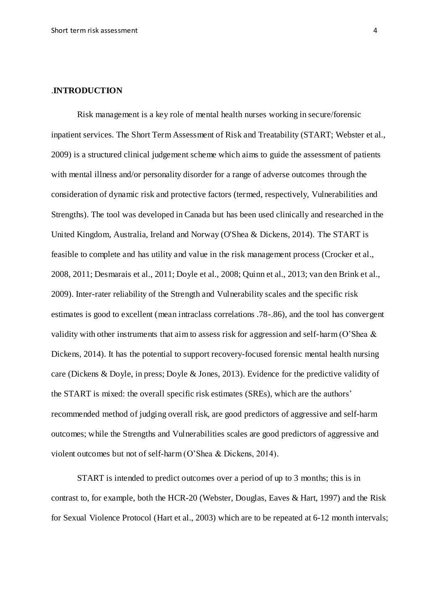#### .**INTRODUCTION**

Risk management is a key role of mental health nurses working in secure/forensic inpatient services. The Short Term Assessment of Risk and Treatability (START; Webster et al., 2009) is a structured clinical judgement scheme which aims to guide the assessment of patients with mental illness and/or personality disorder for a range of adverse outcomes through the consideration of dynamic risk and protective factors (termed, respectively, Vulnerabilities and Strengths). The tool was developed in Canada but has been used clinically and researched in the United Kingdom, Australia, Ireland and Norway (O'Shea & Dickens, 2014). The START is feasible to complete and has utility and value in the risk management process (Crocker et al., 2008, 2011; Desmarais et al., 2011; Doyle et al., 2008; Quinn et al., 2013; van den Brink et al., 2009). Inter-rater reliability of the Strength and Vulnerability scales and the specific risk estimates is good to excellent (mean intraclass correlations .78-.86), and the tool has convergent validity with other instruments that aim to assess risk for aggression and self-harm (O'Shea  $\&$ Dickens, 2014). It has the potential to support recovery-focused forensic mental health nursing care (Dickens & Doyle, in press; Doyle & Jones, 2013). Evidence for the predictive validity of the START is mixed: the overall specific risk estimates (SREs), which are the authors' recommended method of judging overall risk, are good predictors of aggressive and self-harm outcomes; while the Strengths and Vulnerabilities scales are good predictors of aggressive and violent outcomes but not of self-harm (O'Shea & Dickens, 2014).

START is intended to predict outcomes over a period of up to 3 months; this is in contrast to, for example, both the HCR-20 (Webster, Douglas, Eaves & Hart, 1997) and the Risk for Sexual Violence Protocol (Hart et al., 2003) which are to be repeated at 6-12 month intervals;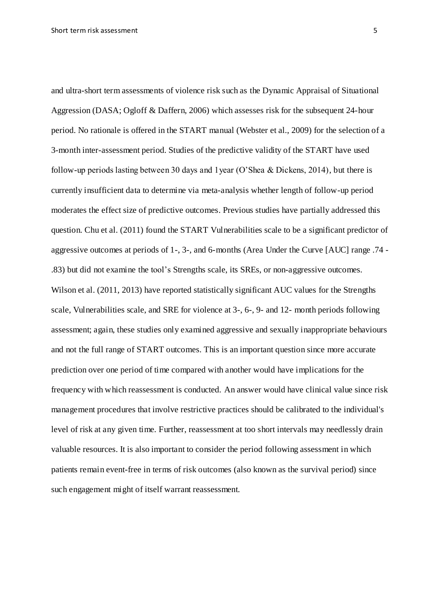and ultra-short term assessments of violence risk such as the Dynamic Appraisal of Situational Aggression (DASA; Ogloff & Daffern, 2006) which assesses risk for the subsequent 24-hour period. No rationale is offered in the START manual (Webster et al., 2009) for the selection of a 3-month inter-assessment period. Studies of the predictive validity of the START have used follow-up periods lasting between 30 days and 1year (O'Shea & Dickens, 2014), but there is currently insufficient data to determine via meta-analysis whether length of follow-up period moderates the effect size of predictive outcomes. Previous studies have partially addressed this question. Chu et al. (2011) found the START Vulnerabilities scale to be a significant predictor of aggressive outcomes at periods of 1-, 3-, and 6-months (Area Under the Curve [AUC] range .74 - .83) but did not examine the tool's Strengths scale, its SREs, or non-aggressive outcomes. Wilson et al. (2011, 2013) have reported statistically significant AUC values for the Strengths scale, Vulnerabilities scale, and SRE for violence at 3-, 6-, 9- and 12- month periods following assessment; again, these studies only examined aggressive and sexually inappropriate behaviours and not the full range of START outcomes. This is an important question since more accurate prediction over one period of time compared with another would have implications for the frequency with which reassessment is conducted. An answer would have clinical value since risk management procedures that involve restrictive practices should be calibrated to the individual's level of risk at any given time. Further, reassessment at too short intervals may needlessly drain valuable resources. It is also important to consider the period following assessment in which patients remain event-free in terms of risk outcomes (also known as the survival period) since such engagement might of itself warrant reassessment.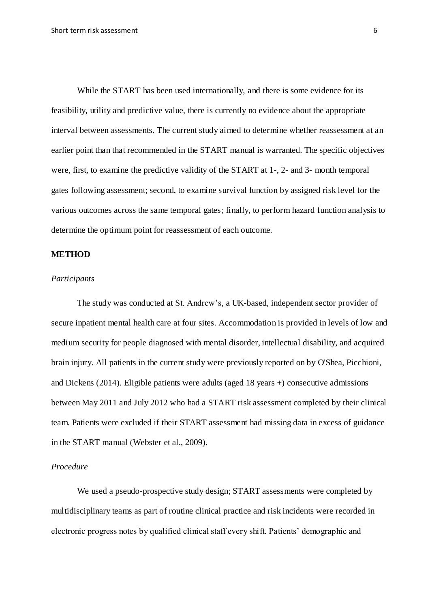While the START has been used internationally, and there is some evidence for its feasibility, utility and predictive value, there is currently no evidence about the appropriate interval between assessments. The current study aimed to determine whether reassessment at an earlier point than that recommended in the START manual is warranted. The specific objectives were, first, to examine the predictive validity of the START at 1-, 2- and 3- month temporal gates following assessment; second, to examine survival function by assigned risk level for the various outcomes across the same temporal gates; finally, to perform hazard function analysis to determine the optimum point for reassessment of each outcome.

# **METHOD**

#### *Participants*

The study was conducted at St. Andrew's, a UK-based, independent sector provider of secure inpatient mental health care at four sites. Accommodation is provided in levels of low and medium security for people diagnosed with mental disorder, intellectual disability, and acquired brain injury. All patients in the current study were previously reported on by O'Shea, Picchioni, and Dickens (2014). Eligible patients were adults (aged 18 years +) consecutive admissions between May 2011 and July 2012 who had a START risk assessment completed by their clinical team. Patients were excluded if their START assessment had missing data in excess of guidance in the START manual (Webster et al., 2009).

#### *Procedure*

We used a pseudo-prospective study design; START assessments were completed by multidisciplinary teams as part of routine clinical practice and risk incidents were recorded in electronic progress notes by qualified clinical staff every shift. Patients' demographic and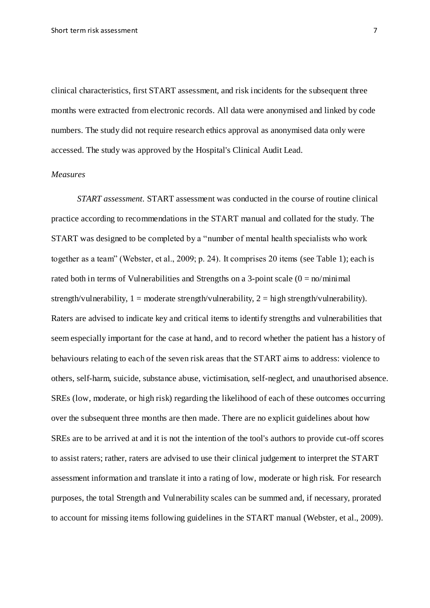clinical characteristics, first START assessment, and risk incidents for the subsequent three months were extracted from electronic records. All data were anonymised and linked by code numbers. The study did not require research ethics approval as anonymised data only were accessed. The study was approved by the Hospital's Clinical Audit Lead.

#### *Measures*

*START assessment.* START assessment was conducted in the course of routine clinical practice according to recommendations in the START manual and collated for the study. The START was designed to be completed by a "number of mental health specialists who work together as a team" (Webster, et al., 2009; p. 24). It comprises 20 items (see Table 1); each is rated both in terms of Vulnerabilities and Strengths on a 3-point scale  $(0 = \text{no/minimal})$ strength/vulnerability,  $1 =$  moderate strength/vulnerability,  $2 =$  high strength/vulnerability). Raters are advised to indicate key and critical items to identify strengths and vulnerabilities that seem especially important for the case at hand, and to record whether the patient has a history of behaviours relating to each of the seven risk areas that the START aims to address: violence to others, self-harm, suicide, substance abuse, victimisation, self-neglect, and unauthorised absence. SREs (low, moderate, or high risk) regarding the likelihood of each of these outcomes occurring over the subsequent three months are then made. There are no explicit guidelines about how SREs are to be arrived at and it is not the intention of the tool's authors to provide cut-off scores to assist raters; rather, raters are advised to use their clinical judgement to interpret the START assessment information and translate it into a rating of low, moderate or high risk. For research purposes, the total Strength and Vulnerability scales can be summed and, if necessary, prorated to account for missing items following guidelines in the START manual (Webster, et al., 2009).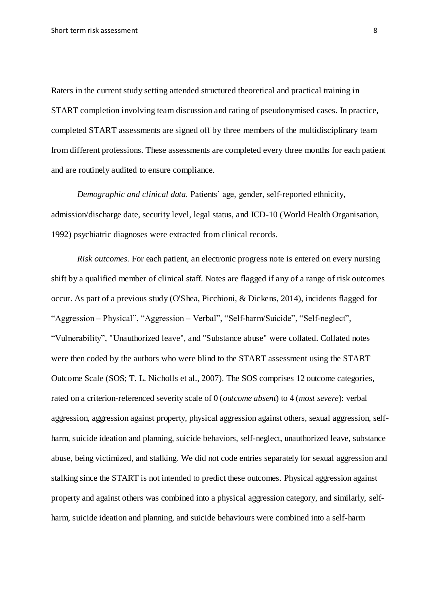Raters in the current study setting attended structured theoretical and practical training in START completion involving team discussion and rating of pseudonymised cases. In practice, completed START assessments are signed off by three members of the multidisciplinary team from different professions. These assessments are completed every three months for each patient and are routinely audited to ensure compliance.

*Demographic and clinical data.* Patients' age, gender, self-reported ethnicity, admission/discharge date, security level, legal status, and ICD-10 (World Health Organisation, 1992) psychiatric diagnoses were extracted from clinical records.

*Risk outcomes.* For each patient, an electronic progress note is entered on every nursing shift by a qualified member of clinical staff. Notes are flagged if any of a range of risk outcomes occur. As part of a previous study (O'Shea, Picchioni, & Dickens, 2014), incidents flagged for "Aggression – Physical", "Aggression – Verbal", "Self-harm/Suicide", "Self-neglect", "Vulnerability", "Unauthorized leave", and "Substance abuse" were collated. Collated notes were then coded by the authors who were blind to the START assessment using the START Outcome Scale (SOS; T. L. Nicholls et al., 2007). The SOS comprises 12 outcome categories, rated on a criterion-referenced severity scale of 0 (*outcome absent*) to 4 (*most severe*): verbal aggression, aggression against property, physical aggression against others, sexual aggression, selfharm, suicide ideation and planning, suicide behaviors, self-neglect, unauthorized leave, substance abuse, being victimized, and stalking. We did not code entries separately for sexual aggression and stalking since the START is not intended to predict these outcomes. Physical aggression against property and against others was combined into a physical aggression category, and similarly, selfharm, suicide ideation and planning, and suicide behaviours were combined into a self-harm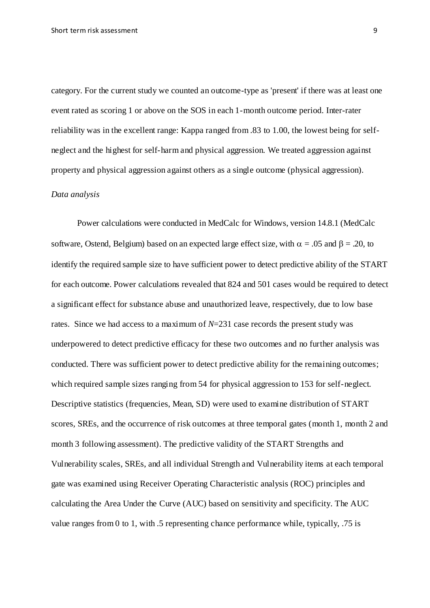category. For the current study we counted an outcome-type as 'present' if there was at least one event rated as scoring 1 or above on the SOS in each 1-month outcome period. Inter-rater reliability was in the excellent range: Kappa ranged from .83 to 1.00, the lowest being for selfneglect and the highest for self-harm and physical aggression. We treated aggression against property and physical aggression against others as a single outcome (physical aggression).

#### *Data analysis*

Power calculations were conducted in MedCalc for Windows, version 14.8.1 (MedCalc software, Ostend, Belgium) based on an expected large effect size, with  $\alpha = .05$  and  $\beta = .20$ , to identify the required sample size to have sufficient power to detect predictive ability of the START for each outcome. Power calculations revealed that 824 and 501 cases would be required to detect a significant effect for substance abuse and unauthorized leave, respectively, due to low base rates. Since we had access to a maximum of *N*=231 case records the present study was underpowered to detect predictive efficacy for these two outcomes and no further analysis was conducted. There was sufficient power to detect predictive ability for the remaining outcomes; which required sample sizes ranging from 54 for physical aggression to 153 for self-neglect. Descriptive statistics (frequencies, Mean, SD) were used to examine distribution of START scores, SREs, and the occurrence of risk outcomes at three temporal gates (month 1, month 2 and month 3 following assessment). The predictive validity of the START Strengths and Vulnerability scales, SREs, and all individual Strength and Vulnerability items at each temporal gate was examined using Receiver Operating Characteristic analysis (ROC) principles and calculating the Area Under the Curve (AUC) based on sensitivity and specificity. The AUC value ranges from 0 to 1, with .5 representing chance performance while, typically, .75 is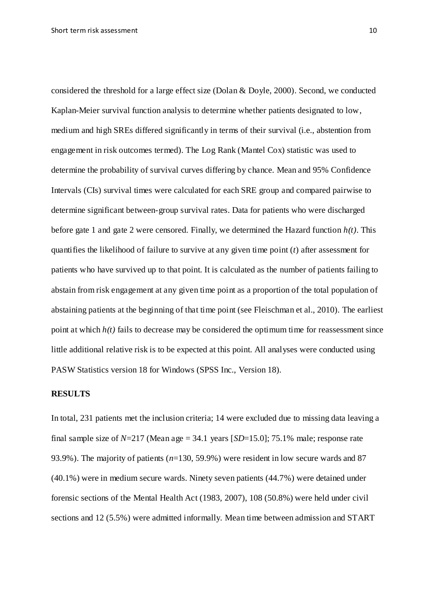considered the threshold for a large effect size (Dolan & Doyle, 2000). Second, we conducted Kaplan-Meier survival function analysis to determine whether patients designated to low, medium and high SREs differed significantly in terms of their survival (i.e., abstention from engagement in risk outcomes termed). The Log Rank (Mantel Cox) statistic was used to determine the probability of survival curves differing by chance. Mean and 95% Confidence Intervals (CIs) survival times were calculated for each SRE group and compared pairwise to determine significant between-group survival rates. Data for patients who were discharged before gate 1 and gate 2 were censored. Finally, we determined the Hazard function *h(t)*. This quantifies the likelihood of failure to survive at any given time point (*t*) after assessment for patients who have survived up to that point. It is calculated as the number of patients failing to abstain from risk engagement at any given time point as a proportion of the total population of abstaining patients at the beginning of that time point (see Fleischman et al., 2010). The earliest point at which  $h(t)$  fails to decrease may be considered the optimum time for reassessment since little additional relative risk is to be expected at this point. All analyses were conducted using PASW Statistics version 18 for Windows (SPSS Inc., Version 18).

### **RESULTS**

In total, 231 patients met the inclusion criteria; 14 were excluded due to missing data leaving a final sample size of  $N=217$  (Mean age = 34.1 years [SD=15.0]; 75.1% male; response rate 93.9%). The majority of patients (*n*=130, 59.9%) were resident in low secure wards and 87 (40.1%) were in medium secure wards. Ninety seven patients (44.7%) were detained under forensic sections of the Mental Health Act (1983, 2007), 108 (50.8%) were held under civil sections and 12 (5.5%) were admitted informally. Mean time between admission and START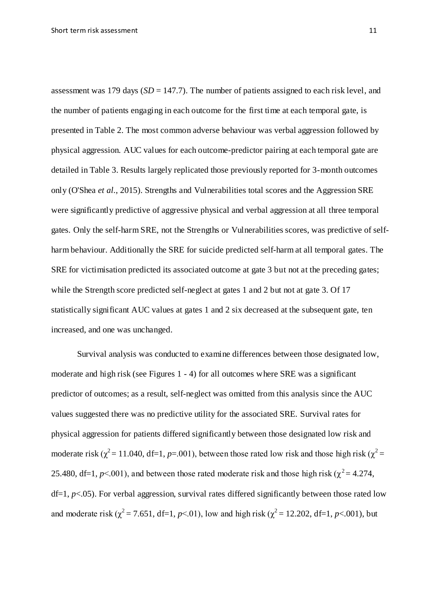assessment was 179 days (*SD* = 147.7). The number of patients assigned to each risk level, and the number of patients engaging in each outcome for the first time at each temporal gate, is presented in Table 2. The most common adverse behaviour was verbal aggression followed by physical aggression. AUC values for each outcome-predictor pairing at each temporal gate are detailed in Table 3. Results largely replicated those previously reported for 3-month outcomes only (O'Shea *et al.*, 2015). Strengths and Vulnerabilities total scores and the Aggression SRE were significantly predictive of aggressive physical and verbal aggression at all three temporal gates. Only the self-harm SRE, not the Strengths or Vulnerabilities scores, was predictive of selfharm behaviour. Additionally the SRE for suicide predicted self-harm at all temporal gates. The SRE for victimisation predicted its associated outcome at gate 3 but not at the preceding gates;

while the Strength score predicted self-neglect at gates 1 and 2 but not at gate 3. Of 17 statistically significant AUC values at gates 1 and 2 six decreased at the subsequent gate, ten increased, and one was unchanged.

Survival analysis was conducted to examine differences between those designated low, moderate and high risk (see Figures 1 - 4) for all outcomes where SRE was a significant predictor of outcomes; as a result, self-neglect was omitted from this analysis since the AUC values suggested there was no predictive utility for the associated SRE. Survival rates for physical aggression for patients differed significantly between those designated low risk and moderate risk ( $\chi^2$  = 11.040, df=1, *p*=.001), between those rated low risk and those high risk ( $\chi^2$  = 25.480, df=1,  $p$ <.001), and between those rated moderate risk and those high risk ( $\chi^2$  = 4.274, df=1, *p*<.05). For verbal aggression, survival rates differed significantly between those rated low and moderate risk ( $\chi^2$  = 7.651, df=1, *p*<.01), low and high risk ( $\chi^2$  = 12.202, df=1, *p*<.001), but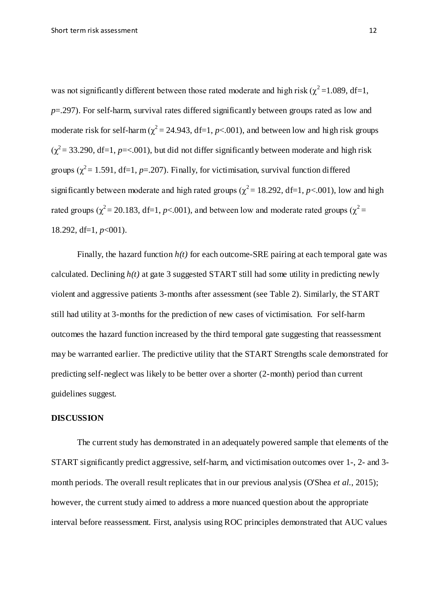was not significantly different between those rated moderate and high risk ( $\chi^2$ =1.089, df=1, *p*=.297). For self-harm, survival rates differed significantly between groups rated as low and moderate risk for self-harm ( $\chi^2$  = 24.943, df=1, *p*<.001), and between low and high risk groups  $(\chi^2 = 33.290, df=1, p=<.001)$ , but did not differ significantly between moderate and high risk groups ( $\gamma^2$  = 1.591, df=1, *p*=.207). Finally, for victimisation, survival function differed significantly between moderate and high rated groups ( $\chi^2$  = 18.292, df=1, *p*<.001), low and high rated groups ( $\chi^2$  = 20.183, df=1, *p*<.001), and between low and moderate rated groups ( $\chi^2$  = 18.292, df=1, *p*<001).

Finally, the hazard function *h(t)* for each outcome-SRE pairing at each temporal gate was calculated. Declining  $h(t)$  at gate 3 suggested START still had some utility in predicting newly violent and aggressive patients 3-months after assessment (see Table 2). Similarly, the START still had utility at 3-months for the prediction of new cases of victimisation. For self-harm outcomes the hazard function increased by the third temporal gate suggesting that reassessment may be warranted earlier. The predictive utility that the START Strengths scale demonstrated for predicting self-neglect was likely to be better over a shorter (2-month) period than current guidelines suggest.

#### **DISCUSSION**

The current study has demonstrated in an adequately powered sample that elements of the START significantly predict aggressive, self-harm, and victimisation outcomes over 1-, 2- and 3 month periods. The overall result replicates that in our previous analysis (O'Shea *et al.*, 2015); however, the current study aimed to address a more nuanced question about the appropriate interval before reassessment. First, analysis using ROC principles demonstrated that AUC values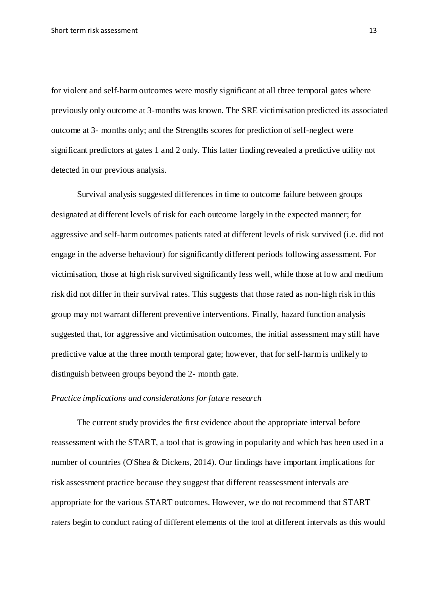for violent and self-harm outcomes were mostly significant at all three temporal gates where previously only outcome at 3-months was known. The SRE victimisation predicted its associated outcome at 3- months only; and the Strengths scores for prediction of self-neglect were significant predictors at gates 1 and 2 only. This latter finding revealed a predictive utility not detected in our previous analysis.

Survival analysis suggested differences in time to outcome failure between groups designated at different levels of risk for each outcome largely in the expected manner; for aggressive and self-harm outcomes patients rated at different levels of risk survived (i.e. did not engage in the adverse behaviour) for significantly different periods following assessment. For victimisation, those at high risk survived significantly less well, while those at low and medium risk did not differ in their survival rates. This suggests that those rated as non-high risk in this group may not warrant different preventive interventions. Finally, hazard function analysis suggested that, for aggressive and victimisation outcomes, the initial assessment may still have predictive value at the three month temporal gate; however, that for self-harm is unlikely to distinguish between groups beyond the 2- month gate.

#### *Practice implications and considerations for future research*

The current study provides the first evidence about the appropriate interval before reassessment with the START, a tool that is growing in popularity and which has been used in a number of countries (O'Shea & Dickens, 2014). Our findings have important implications for risk assessment practice because they suggest that different reassessment intervals are appropriate for the various START outcomes. However, we do not recommend that START raters begin to conduct rating of different elements of the tool at different intervals as this would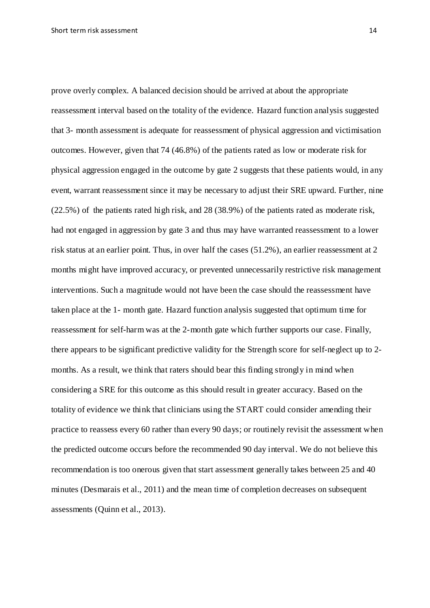prove overly complex. A balanced decision should be arrived at about the appropriate reassessment interval based on the totality of the evidence. Hazard function analysis suggested that 3- month assessment is adequate for reassessment of physical aggression and victimisation outcomes. However, given that 74 (46.8%) of the patients rated as low or moderate risk for physical aggression engaged in the outcome by gate 2 suggests that these patients would, in any event, warrant reassessment since it may be necessary to adjust their SRE upward. Further, nine (22.5%) of the patients rated high risk, and 28 (38.9%) of the patients rated as moderate risk, had not engaged in aggression by gate 3 and thus may have warranted reassessment to a lower risk status at an earlier point. Thus, in over half the cases (51.2%), an earlier reassessment at 2 months might have improved accuracy, or prevented unnecessarily restrictive risk management interventions. Such a magnitude would not have been the case should the reassessment have taken place at the 1- month gate. Hazard function analysis suggested that optimum time for reassessment for self-harm was at the 2-month gate which further supports our case. Finally, there appears to be significant predictive validity for the Strength score for self-neglect up to 2 months. As a result, we think that raters should bear this finding strongly in mind when considering a SRE for this outcome as this should result in greater accuracy. Based on the totality of evidence we think that clinicians using the START could consider amending their practice to reassess every 60 rather than every 90 days; or routinely revisit the assessment when the predicted outcome occurs before the recommended 90 day interval. We do not believe this recommendation is too onerous given that start assessment generally takes between 25 and 40 minutes (Desmarais et al., 2011) and the mean time of completion decreases on subsequent assessments (Quinn et al., 2013).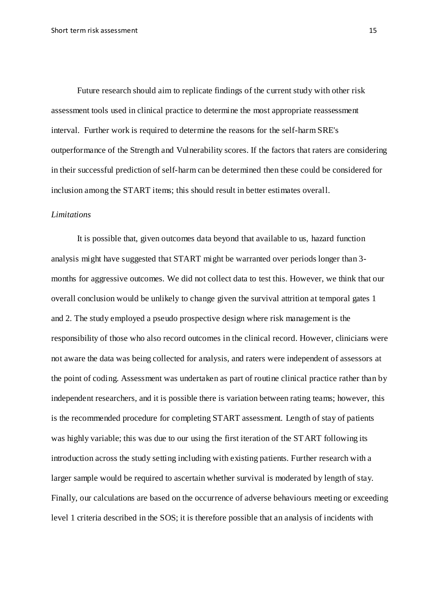Future research should aim to replicate findings of the current study with other risk assessment tools used in clinical practice to determine the most appropriate reassessment interval. Further work is required to determine the reasons for the self-harm SRE's outperformance of the Strength and Vulnerability scores. If the factors that raters are considering in their successful prediction of self-harm can be determined then these could be considered for inclusion among the START items; this should result in better estimates overall.

#### *Limitations*

It is possible that, given outcomes data beyond that available to us, hazard function analysis might have suggested that START might be warranted over periods longer than 3 months for aggressive outcomes. We did not collect data to test this. However, we think that our overall conclusion would be unlikely to change given the survival attrition at temporal gates 1 and 2. The study employed a pseudo prospective design where risk management is the responsibility of those who also record outcomes in the clinical record. However, clinicians were not aware the data was being collected for analysis, and raters were independent of assessors at the point of coding. Assessment was undertaken as part of routine clinical practice rather than by independent researchers, and it is possible there is variation between rating teams; however, this is the recommended procedure for completing START assessment. Length of stay of patients was highly variable; this was due to our using the first iteration of the START following its introduction across the study setting including with existing patients. Further research with a larger sample would be required to ascertain whether survival is moderated by length of stay. Finally, our calculations are based on the occurrence of adverse behaviours meeting or exceeding level 1 criteria described in the SOS; it is therefore possible that an analysis of incidents with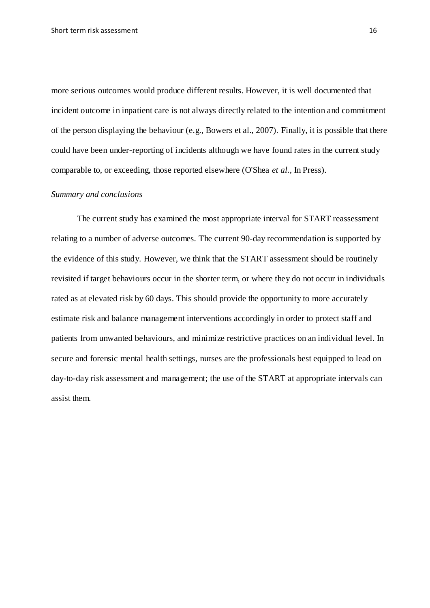more serious outcomes would produce different results. However, it is well documented that incident outcome in inpatient care is not always directly related to the intention and commitment of the person displaying the behaviour (e.g., Bowers et al., 2007). Finally, it is possible that there could have been under-reporting of incidents although we have found rates in the current study comparable to, or exceeding, those reported elsewhere (O'Shea *et al.,* In Press).

#### *Summary and conclusions*

The current study has examined the most appropriate interval for START reassessment relating to a number of adverse outcomes. The current 90-day recommendation is supported by the evidence of this study. However, we think that the START assessment should be routinely revisited if target behaviours occur in the shorter term, or where they do not occur in individuals rated as at elevated risk by 60 days. This should provide the opportunity to more accurately estimate risk and balance management interventions accordingly in order to protect staff and patients from unwanted behaviours, and minimize restrictive practices on an individual level. In secure and forensic mental health settings, nurses are the professionals best equipped to lead on day-to-day risk assessment and management; the use of the START at appropriate intervals can assist them.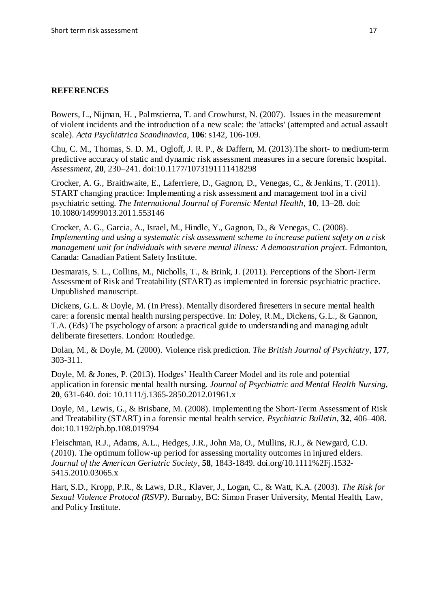## **REFERENCES**

Bowers, L., Nijman, H. , Palmstierna, T. and Crowhurst, N. (2007). Issues in the measurement of violent incidents and the introduction of a new scale: the 'attacks' (attempted and actual assault scale). *Acta Psychiatrica Scandinavica*, **106**: s142, 106-109.

Chu, C. M., Thomas, S. D. M., Ogloff, J. R. P., & Daffern, M. (2013).The short- to medium-term predictive accuracy of static and dynamic risk assessment measures in a secure forensic hospital. *Assessment,* **20***,* 230–241. doi:10.1177/1073191111418298

Crocker, A. G., Braithwaite, E., Laferriere, D., Gagnon, D., Venegas, C., & Jenkins, T. (2011). START changing practice: Implementing a risk assessment and management tool in a civil psychiatric setting. *The International Journal of Forensic Mental Health*, **10**, 13–28. doi: 10.1080/14999013.2011.553146

Crocker, A. G., Garcia, A., Israel, M., Hindle, Y., Gagnon, D., & Venegas, C. (2008). *Implementing and using a systematic risk assessment scheme to increase patient safety on a risk management unit for individuals with severe mental illness: A demonstration project.* Edmonton, Canada: Canadian Patient Safety Institute.

Desmarais, S. L., Collins, M., Nicholls, T., & Brink, J. (2011). Perceptions of the Short-Term Assessment of Risk and Treatability (START) as implemented in forensic psychiatric practice. Unpublished manuscript.

Dickens, G.L. & Doyle, M. (In Press). Mentally disordered firesetters in secure mental health care: a forensic mental health nursing perspective. In: Doley, R.M., Dickens, G.L., & Gannon, T.A. (Eds) The psychology of arson: a practical guide to understanding and managing adult deliberate firesetters. London: Routledge.

Dolan, M., & Doyle, M. (2000). Violence risk prediction. *The British Journal of Psychiatry*, **177**, 303-311.

Doyle, M. & Jones, P. (2013). Hodges' Health Career Model and its role and potential application in forensic mental health nursing. *Journal of Psychiatric and Mental Health Nursing,* **20**, 631-640. doi: 10.1111/j.1365-2850.2012.01961.x

Doyle, M., Lewis, G., & Brisbane, M. (2008). Implementing the Short-Term Assessment of Risk and Treatability (START) in a forensic mental health service. *Psychiatric Bulletin*, **32**, 406–408. doi:10.1192/pb.bp.108.019794

Fleischman, R.J., Adams, A.L., Hedges, J.R., John Ma, O., Mullins, R.J., & Newgard, C.D. (2010). The optimum follow-up period for assessing mortality outcomes in injured elders. *Journal of the American Geriatric Society*, **58**, 1843-1849. doi.org/10.1111%2Fj.1532- 5415.2010.03065.x

Hart, S.D., Kropp, P.R., & Laws, D.R., Klaver, J., Logan, C., & Watt, K.A. (2003). *The Risk for Sexual Violence Protocol (RSVP)*. Burnaby, BC: Simon Fraser University, Mental Health, Law, and Policy Institute.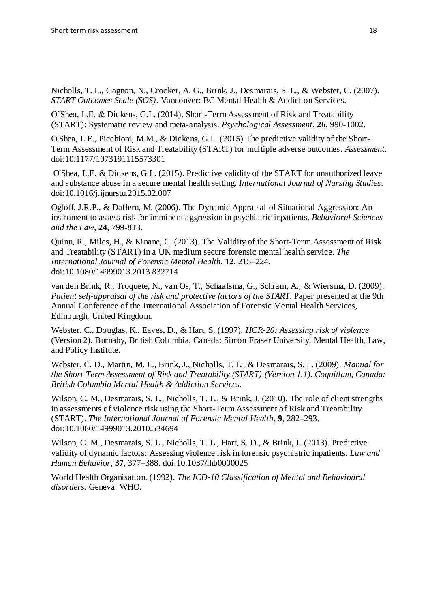Nicholls, T. L., Gagnon, N., Crocker, A. G., Brink, J., Desmarais, S. L., & Webster, C. (2007). *START Outcomes Scale (SOS)*. Vancouver: BC Mental Health & Addiction Services.

O'Shea, L.E. & Dickens, G.L. (2014). Short-Term Assessment of Risk and Treatability (START): Systematic review and meta-analysis. *Psychological Assessment,* **26**, 990-1002.

O'Shea, L.E., Picchioni, M.M., & Dickens, G.L. (2015) The predictive validity of the Short-Term Assessment of Risk and Treatability (START) for multiple adverse outcomes. *Assessment.* doi:10.1177/1073191115573301

O'Shea, L.E. & Dickens, G.L. (2015). Predictive validity of the START for unauthorized leave and substance abuse in a secure mental health setting. *International Journal of Nursing Studies.*  doi:10.1016/j.ijnurstu.2015.02.007

Ogloff, J.R.P., & Daffern, M. (2006). The Dynamic Appraisal of Situational Aggression: An instrument to assess risk for imminent aggression in psychiatric inpatients. *Behavioral Sciences and the Law*, **24**, 799-813.

Quinn, R., Miles, H., & Kinane, C. (2013). The Validity of the Short-Term Assessment of Risk and Treatability (START) in a UK medium secure forensic mental health service. *The International Journal of Forensic Mental Health*, **12**, 215–224. doi:10.1080/14999013.2013.832714

van den Brink, R., Troquete, N., van Os, T., Schaafsma, G., Schram, A., & Wiersma, D. (2009). *Patient self-appraisal of the risk and protective factors of the START*. Paper presented at the 9th Annual Conference of the International Association of Forensic Mental Health Services, Edinburgh, United Kingdom.

Webster, C., Douglas, K., Eaves, D., & Hart, S. (1997). *HCR-20: Assessing risk of violence*  (Version 2). Burnaby, British Columbia, Canada: Simon Fraser University, Mental Health, Law, and Policy Institute.

Webster, C. D., Martin, M. L., Brink, J., Nicholls, T. L., & Desmarais, S. L. (2009). *Manual for the Short-Term Assessment of Risk and Treatability (START) (Version 1.1). Coquitlam, Canada: British Columbia Mental Health & Addiction Services.*

Wilson, C. M., Desmarais, S. L., Nicholls, T. L., & Brink, J. (2010). The role of client strengths in assessments of violence risk using the Short-Term Assessment of Risk and Treatability (START). *The International Journal of Forensic Mental Health*, **9**, 282–293. doi:10.1080/14999013.2010.534694

Wilson, C. M., Desmarais, S. L., Nicholls, T. L., Hart, S. D., & Brink, J. (2013). Predictive validity of dynamic factors: Assessing violence risk in forensic psychiatric inpatients. *Law and Human Behavior*, **37**, 377–388. doi:10.1037/lhb0000025

World Health Organisation. (1992). *The ICD-10 Classification of Mental and Behavioural disorders*. Geneva: WHO.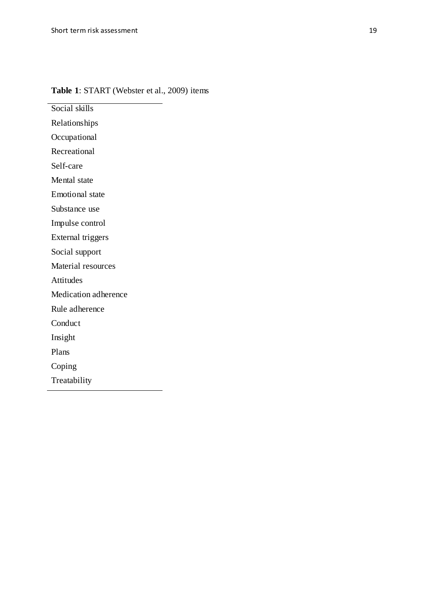# **Table 1**: START (Webster et al., 2009) items

Social skills

Relationships Occupational

Recreational

Self-care

Mental state

Emotional state

Substance use

Impulse control

External triggers

Social support

Material resources

Attitudes

Medication adherence

Rule adherence

Conduct

Insight

Plans

Coping

Treatability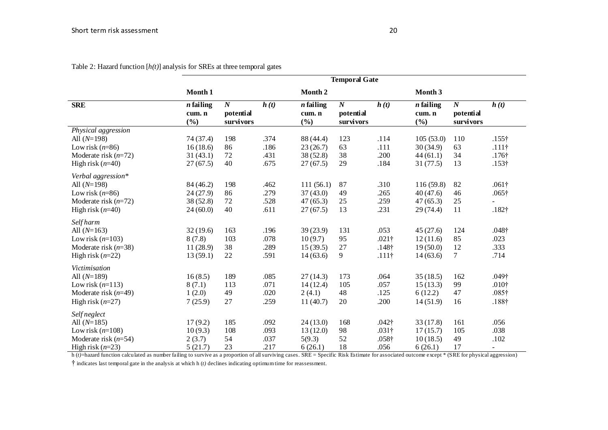|                        | <b>Temporal Gate</b>                    |                                          |      |                              |                                          |                   |                              |                                                 |                   |
|------------------------|-----------------------------------------|------------------------------------------|------|------------------------------|------------------------------------------|-------------------|------------------------------|-------------------------------------------------|-------------------|
|                        | Month 1                                 |                                          |      | Month 2                      |                                          |                   | Month 3                      |                                                 |                   |
| <b>SRE</b>             | $\overline{n}$ failing<br>cum. n<br>(%) | $\overline{N}$<br>potential<br>survivors | h(t) | $n$ failing<br>cum. n<br>(%) | $\overline{N}$<br>potential<br>survivors | $\overline{h(t)}$ | $n$ failing<br>cum. n<br>(%) | $\overline{N}$<br>potential<br><b>survivors</b> | $\overline{h(t)}$ |
| Physical aggression    |                                         |                                          |      |                              |                                          |                   |                              |                                                 |                   |
| All $(N=198)$          | 74 (37.4)                               | 198                                      | .374 | 88 (44.4)                    | 123                                      | .114              | 105(53.0)                    | 110                                             | $.155\dagger$     |
| Low risk $(n=86)$      | 16(18.6)                                | 86                                       | .186 | 23(26.7)                     | 63                                       | .111              | 30(34.9)                     | 63                                              | $.111\dagger$     |
| Moderate risk $(n=72)$ | 31(43.1)                                | 72                                       | .431 | 38 (52.8)                    | 38                                       | .200              | 44(61.1)                     | 34                                              | $.176\dagger$     |
| High risk $(n=40)$     | 27(67.5)                                | 40                                       | .675 | 27(67.5)                     | 29                                       | .184              | 31(77.5)                     | 13                                              | $.153\dagger$     |
| Verbal aggression*     |                                         |                                          |      |                              |                                          |                   |                              |                                                 |                   |
| All $(N=198)$          | 84 (46.2)                               | 198                                      | .462 | 111(56.1)                    | 87                                       | .310              | 116 (59.8)                   | 82                                              | $.061\dagger$     |
| Low risk $(n=86)$      | 24(27.9)                                | 86                                       | .279 | 37(43.0)                     | 49                                       | .265              | 40(47.6)                     | 46                                              | $.065\dagger$     |
| Moderate risk $(n=72)$ | 38 (52.8)                               | 72                                       | .528 | 47(65.3)                     | 25                                       | .259              | 47(65.3)                     | 25                                              |                   |
| High risk $(n=40)$     | 24(60.0)                                | 40                                       | .611 | 27(67.5)                     | 13                                       | .231              | 29 (74.4)                    | 11                                              | $.182\dagger$     |
| <b>Self</b> harm       |                                         |                                          |      |                              |                                          |                   |                              |                                                 |                   |
| All $(N=163)$          | 32(19.6)                                | 163                                      | .196 | 39(23.9)                     | 131                                      | .053              | 45(27.6)                     | 124                                             | $.048\dagger$     |
| Low risk $(n=103)$     | 8(7.8)                                  | 103                                      | .078 | 10(9.7)                      | 95                                       | $.021\dagger$     | 12(11.6)                     | 85                                              | .023              |
| Moderate risk $(n=38)$ | 11(28.9)                                | 38                                       | .289 | 15(39.5)                     | 27                                       | .148 <sup>†</sup> | 19(50.0)                     | 12                                              | .333              |
| High risk $(n=22)$     | 13(59.1)                                | 22                                       | .591 | 14(63.6)                     | 9                                        | $.111\dagger$     | 14(63.6)                     | 7                                               | .714              |
| Victimisation          |                                         |                                          |      |                              |                                          |                   |                              |                                                 |                   |
| All $(N=189)$          | 16(8.5)                                 | 189                                      | .085 | 27(14.3)                     | 173                                      | .064              | 35(18.5)                     | 162                                             | $.049\dagger$     |
| Low risk $(n=113)$     | 8(7.1)                                  | 113                                      | .071 | 14(12.4)                     | 105                                      | .057              | 15(13.3)                     | 99                                              | .010 <sup>†</sup> |
| Moderate risk $(n=49)$ | 1(2.0)                                  | 49                                       | .020 | 2(4.1)                       | 48                                       | .125              | 6(12.2)                      | 47                                              | $.085\dagger$     |
| High risk $(n=27)$     | 7(25.9)                                 | 27                                       | .259 | 11(40.7)                     | 20                                       | .200              | 14(51.9)                     | 16                                              | $.188\dagger$     |
| Selfneglect            |                                         |                                          |      |                              |                                          |                   |                              |                                                 |                   |
| All $(N=185)$          | 17(9.2)                                 | 185                                      | .092 | 24(13.0)                     | 168                                      | $.042\dagger$     | 33(17.8)                     | 161                                             | .056              |
| Low risk $(n=108)$     | 10(9.3)                                 | 108                                      | .093 | 13(12.0)                     | 98                                       | .031 <sup>†</sup> | 17(15.7)                     | 105                                             | .038              |
| Moderate risk $(n=54)$ | 2(3.7)                                  | 54                                       | .037 | 5(9.3)                       | 52                                       | $.058\dagger$     | 10(18.5)                     | 49                                              | .102              |
| High risk $(n=23)$     | 5(21.7)                                 | 23                                       | .217 | 6(26.1)                      | 18                                       | .056              | 6(26.1)                      | 17                                              |                   |

Table 2: Hazard function  $[h(t)]$  analysis for SREs at three temporal gates

h (*t)*=hazard function calculated as number failing to survive as a proportion of all surviving cases. SRE = Specific Risk Estimate for associated outcome except \* (SRE for physical aggression) † indicates last temporal gate in the analysis at which h (*t)* declines indicating optimum time for reassessment.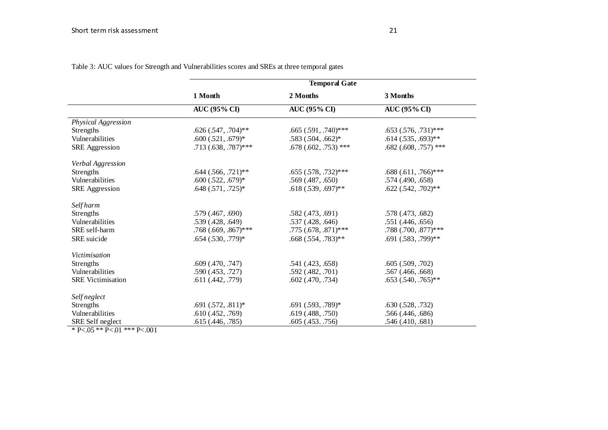|                          | <b>Temporal Gate</b>    |                        |                           |  |  |  |
|--------------------------|-------------------------|------------------------|---------------------------|--|--|--|
|                          | 1 Month                 | 2 Months               | 3 Months                  |  |  |  |
|                          | <b>AUC (95% CI)</b>     | <b>AUC (95% CI)</b>    | <b>AUC (95% CI)</b>       |  |  |  |
| Physical Aggression      |                         |                        |                           |  |  |  |
| Strengths                | $.626(.547, .704)**$    | .665 (.591, .740)***   | $.653$ $(.576, .731)$ *** |  |  |  |
| Vulnerabilities          | $.600(521, .679)^*$     | $.583(.504, .662)*$    | $.614(.535, .693)$ **     |  |  |  |
| <b>SRE</b> Aggression    | $.713(.638,.787)$ ***   | $.678(.602, .753)$ *** | $.682$ (.608, .757) ***   |  |  |  |
| Verbal Aggression        |                         |                        |                           |  |  |  |
| Strengths                | $.644$ $(.566, .721)**$ | $.655(.578,.732)***$   | $.688(.611, .766)$ ***    |  |  |  |
| Vulnerabilities          | $.600(522, .679)^*$     | $.569$ $(.487, .650)$  | .574(.490,.658)           |  |  |  |
| <b>SRE</b> Aggression    | $.648(.571, .725)*$     | $.618(.539,.697)$ **   | $.622(.542,.702)**$       |  |  |  |
| <b>Self</b> harm         |                         |                        |                           |  |  |  |
| Strengths                | .579(.467, .690)        | .582(.473,.691)        | .578(.473,.682)           |  |  |  |
| Vulnerabilities          | .539 (.428, .649)       | .537(.428, .646)       | .551(.446, .656)          |  |  |  |
| SRE self-harm            | $.768$ (.669, .867)***  | $.775(.678,.871)$ ***  | .788 (.700, .877)***      |  |  |  |
| SRE suicide              | $.654$ $(.530, .779)*$  | $.668(.554,.783)$ **   | $.691(.583, .799)$ **     |  |  |  |
| <b>Victimisation</b>     |                         |                        |                           |  |  |  |
| Strengths                | $.609$ $(.470, .747)$   | .541(.423,.658)        | .605(.509,.702)           |  |  |  |
| Vulnerabilities          | .590(.453, .727)        | .592 (.482, .701)      | $.567$ $(.466, .668)$     |  |  |  |
| <b>SRE</b> Victimisation | .611(.442,.779)         | $.602$ $(.470, .734)$  | $.653$ $(.540, .765)$ **  |  |  |  |
| Selfneglect              |                         |                        |                           |  |  |  |
| Strengths                | $.691(.572,.811)*$      | $.691(.593, .789)*$    | .630(.528, .732)          |  |  |  |
| Vulnerabilities          | .610(.452, .769)        | .619(.488, .750)       | .566 (.446, .686)         |  |  |  |
| SRE Self neglect         | .615 (.446, .785)       | .605(0.453,0.756)      | .546(.410, .681)          |  |  |  |

Table 3: AUC values for Strength and Vulnerabilities scores and SREs at three temporal gates

\* P<.05 \*\* P<.01 \*\*\* P<.001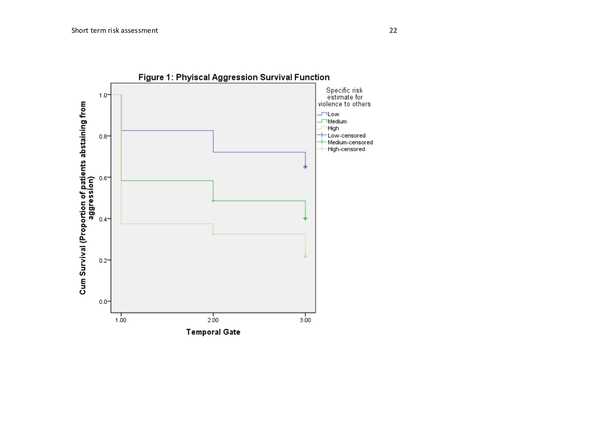

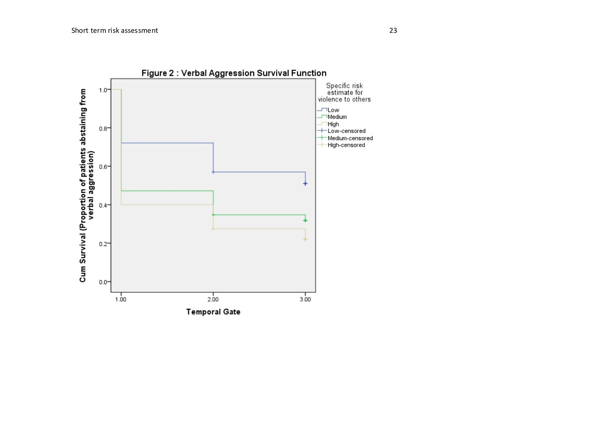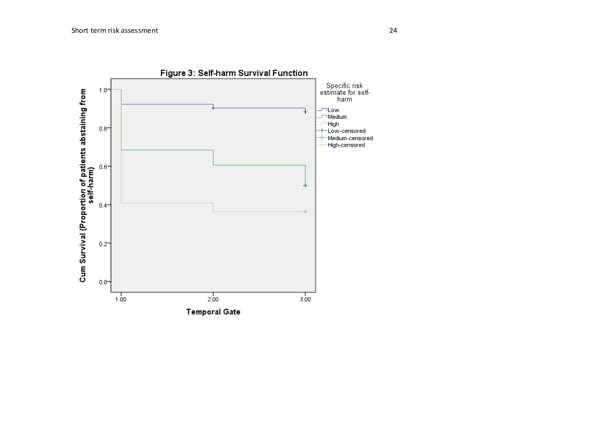